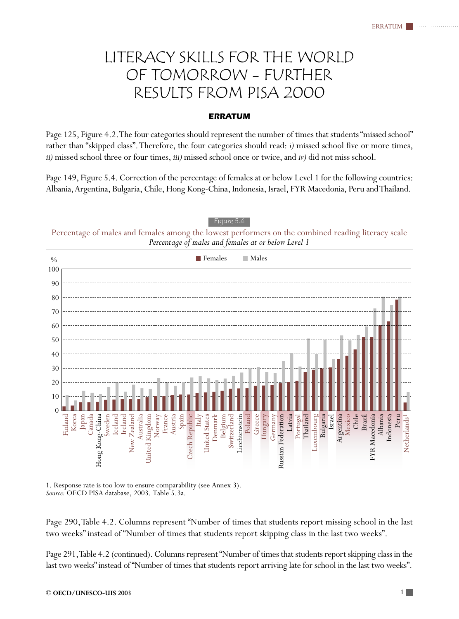## LITERACY SKILLS FOR THE WORLD OF TOMORROW - FURTHER RESULTS FROM PISA 2000

## **ERRATUM**

Page 125, Figure 4.2. The four categories should represent the number of times that students "missed school" rather than "skipped class". Therefore, the four categories should read: *i)* missed school five or more times, *ii)* missed school three or four times, *iii)* missed school once or twice, and *iv)* did not miss school.

Page 149, Figure 5.4. Correction of the percentage of females at or below Level 1 for the following countries: Albania, Argentina, Bulgaria, Chile, Hong Kong-China, Indonesia, Israel, FYR Macedonia, Peru and Thailand.



1. Response rate is too low to ensure comparability (see Annex 3). *Source:* OECD PISA database, 2003. Table 5.3a.

Page 290, Table 4.2. Columns represent "Number of times that students report missing school in the last two weeks" instead of "Number of times that students report skipping class in the last two weeks".

Page 291, Table 4.2 (continued). Columns represent "Number of times that students report skipping class in the last two weeks" instead of "Number of times that students report arriving late for school in the last two weeks".